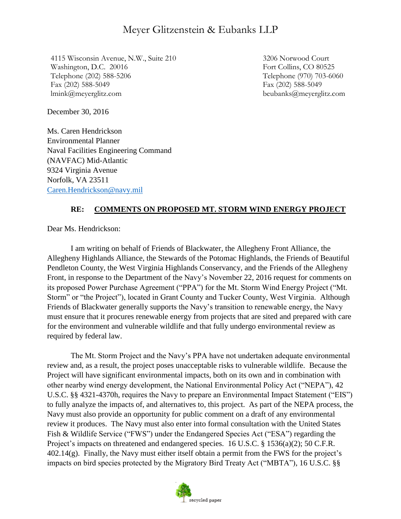# Meyer Glitzenstein & Eubanks LLP

4115 Wisconsin Avenue, N.W., Suite 210 Washington, D.C. 20016 Telephone (202) 588-5206 Fax (202) 588-5049 lmink@meyerglitz.com

3206 Norwood Court Fort Collins, CO 80525 Telephone (970) 703-6060 Fax (202) 588-5049 beubanks@meyerglitz.com

December 30, 2016

Ms. Caren Hendrickson Environmental Planner Naval Facilities Engineering Command (NAVFAC) Mid-Atlantic 9324 Virginia Avenue Norfolk, VA 23511 [Caren.Hendrickson@navy.mil](mailto:Caren.Hendrickson@navy.mil)

### **RE: COMMENTS ON PROPOSED MT. STORM WIND ENERGY PROJECT**

Dear Ms. Hendrickson:

I am writing on behalf of Friends of Blackwater, the Allegheny Front Alliance, the Allegheny Highlands Alliance, the Stewards of the Potomac Highlands, the Friends of Beautiful Pendleton County, the West Virginia Highlands Conservancy, and the Friends of the Allegheny Front, in response to the Department of the Navy's November 22, 2016 request for comments on its proposed Power Purchase Agreement ("PPA") for the Mt. Storm Wind Energy Project ("Mt. Storm" or "the Project"), located in Grant County and Tucker County, West Virginia. Although Friends of Blackwater generally supports the Navy's transition to renewable energy, the Navy must ensure that it procures renewable energy from projects that are sited and prepared with care for the environment and vulnerable wildlife and that fully undergo environmental review as required by federal law.

The Mt. Storm Project and the Navy's PPA have not undertaken adequate environmental review and, as a result, the project poses unacceptable risks to vulnerable wildlife. Because the Project will have significant environmental impacts, both on its own and in combination with other nearby wind energy development, the National Environmental Policy Act ("NEPA"), 42 U.S.C. §§ 4321-4370h, requires the Navy to prepare an Environmental Impact Statement ("EIS") to fully analyze the impacts of, and alternatives to, this project. As part of the NEPA process, the Navy must also provide an opportunity for public comment on a draft of any environmental review it produces. The Navy must also enter into formal consultation with the United States Fish & Wildlife Service ("FWS") under the Endangered Species Act ("ESA") regarding the Project's impacts on threatened and endangered species. 16 U.S.C. § 1536(a)(2); 50 C.F.R.  $402.14(g)$ . Finally, the Navy must either itself obtain a permit from the FWS for the project's impacts on bird species protected by the Migratory Bird Treaty Act ("MBTA"), 16 U.S.C. §§

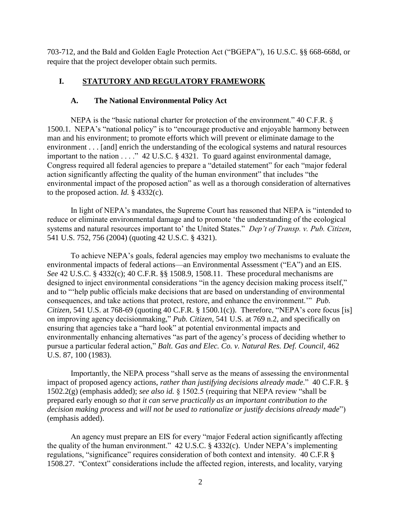703-712, and the Bald and Golden Eagle Protection Act ("BGEPA"), 16 U.S.C. §§ 668-668d, or require that the project developer obtain such permits.

# **I. STATUTORY AND REGULATORY FRAMEWORK**

### **A. The National Environmental Policy Act**

NEPA is the "basic national charter for protection of the environment." 40 C.F.R. § 1500.1. NEPA's "national policy" is to "encourage productive and enjoyable harmony between man and his environment; to promote efforts which will prevent or eliminate damage to the environment . . . [and] enrich the understanding of the ecological systems and natural resources important to the nation . . . ." 42 U.S.C. § 4321. To guard against environmental damage, Congress required all federal agencies to prepare a "detailed statement" for each "major federal action significantly affecting the quality of the human environment" that includes "the environmental impact of the proposed action" as well as a thorough consideration of alternatives to the proposed action. *Id.* § 4332(c).

In light of NEPA's mandates, the Supreme Court has reasoned that NEPA is "intended to reduce or eliminate environmental damage and to promote 'the understanding of the ecological systems and natural resources important to' the United States." *Dep't of Transp. v. Pub. Citizen*, 541 U.S. 752, 756 (2004) (quoting 42 U.S.C. § 4321).

To achieve NEPA's goals, federal agencies may employ two mechanisms to evaluate the environmental impacts of federal actions—an Environmental Assessment ("EA") and an EIS. *See* 42 U.S.C. § 4332(c); 40 C.F.R. §§ 1508.9, 1508.11. These procedural mechanisms are designed to inject environmental considerations "in the agency decision making process itself," and to "'help public officials make decisions that are based on understanding of environmental consequences, and take actions that protect, restore, and enhance the environment.'" *Pub. Citizen*, 541 U.S. at 768-69 (quoting 40 C.F.R. § 1500.1(c)). Therefore, "NEPA's core focus [is] on improving agency decisionmaking," *Pub. Citizen*, 541 U.S. at 769 n.2, and specifically on ensuring that agencies take a "hard look" at potential environmental impacts and environmentally enhancing alternatives "as part of the agency's process of deciding whether to pursue a particular federal action," *Balt. Gas and Elec. Co. v. Natural Res. Def. Council*, 462 U.S. 87, 100 (1983).

Importantly, the NEPA process "shall serve as the means of assessing the environmental impact of proposed agency actions, *rather than justifying decisions already made*." 40 C.F.R. § 1502.2(g) (emphasis added); *see also id.* § 1502.5 (requiring that NEPA review "shall be prepared early enough *so that it can serve practically as an important contribution to the decision making process* and *will not be used to rationalize or justify decisions already made*") (emphasis added).

An agency must prepare an EIS for every "major Federal action significantly affecting the quality of the human environment." 42 U.S.C. § 4332(c). Under NEPA's implementing regulations, "significance" requires consideration of both context and intensity. 40 C.F.R § 1508.27. "Context" considerations include the affected region, interests, and locality, varying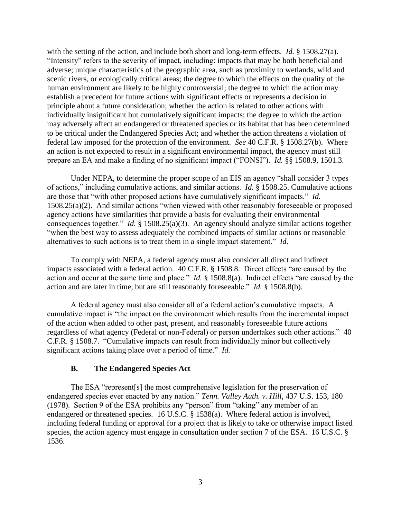with the setting of the action, and include both short and long-term effects. *Id.* § 1508.27(a). "Intensity" refers to the severity of impact, including: impacts that may be both beneficial and adverse; unique characteristics of the geographic area, such as proximity to wetlands, wild and scenic rivers, or ecologically critical areas; the degree to which the effects on the quality of the human environment are likely to be highly controversial; the degree to which the action may establish a precedent for future actions with significant effects or represents a decision in principle about a future consideration; whether the action is related to other actions with individually insignificant but cumulatively significant impacts; the degree to which the action may adversely affect an endangered or threatened species or its habitat that has been determined to be critical under the Endangered Species Act; and whether the action threatens a violation of federal law imposed for the protection of the environment. *See* 40 C.F.R. § 1508.27(b). Where an action is not expected to result in a significant environmental impact, the agency must still prepare an EA and make a finding of no significant impact ("FONSI"). *Id.* §§ 1508.9, 1501.3.

Under NEPA, to determine the proper scope of an EIS an agency "shall consider 3 types of actions," including cumulative actions, and similar actions. *Id.* § 1508.25. Cumulative actions are those that "with other proposed actions have cumulatively significant impacts." *Id.*  1508.25(a)(2). And similar actions "when viewed with other reasonably foreseeable or proposed agency actions have similarities that provide a basis for evaluating their environmental consequences together." *Id.* § 1508.25(a)(3). An agency should analyze similar actions together "when the best way to assess adequately the combined impacts of similar actions or reasonable alternatives to such actions is to treat them in a single impact statement." *Id.* 

To comply with NEPA, a federal agency must also consider all direct and indirect impacts associated with a federal action. 40 C.F.R. § 1508.8. Direct effects "are caused by the action and occur at the same time and place." *Id.* § 1508.8(a). Indirect effects "are caused by the action and are later in time, but are still reasonably foreseeable." *Id.* § 1508.8(b).

A federal agency must also consider all of a federal action's cumulative impacts. A cumulative impact is "the impact on the environment which results from the incremental impact of the action when added to other past, present, and reasonably foreseeable future actions regardless of what agency (Federal or non-Federal) or person undertakes such other actions." 40 C.F.R. § 1508.7. "Cumulative impacts can result from individually minor but collectively significant actions taking place over a period of time." *Id.* 

#### **B. The Endangered Species Act**

The ESA "represent[s] the most comprehensive legislation for the preservation of endangered species ever enacted by any nation." *Tenn. Valley Auth. v. Hill*, 437 U.S. 153, 180 (1978). Section 9 of the ESA prohibits any "person" from "taking" any member of an endangered or threatened species. 16 U.S.C. § 1538(a). Where federal action is involved, including federal funding or approval for a project that is likely to take or otherwise impact listed species, the action agency must engage in consultation under section 7 of the ESA. 16 U.S.C. § 1536.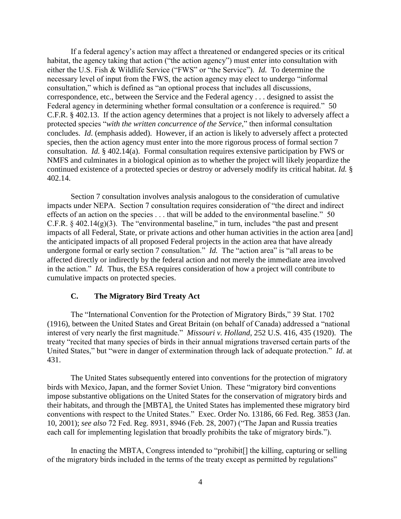If a federal agency's action may affect a threatened or endangered species or its critical habitat, the agency taking that action ("the action agency") must enter into consultation with either the U.S. Fish & Wildlife Service ("FWS" or "the Service"). *Id.* To determine the necessary level of input from the FWS, the action agency may elect to undergo "informal consultation," which is defined as "an optional process that includes all discussions, correspondence, etc., between the Service and the Federal agency . . . designed to assist the Federal agency in determining whether formal consultation or a conference is required." 50 C.F.R. § 402.13. If the action agency determines that a project is not likely to adversely affect a protected species "*with the written concurrence of the Service*," then informal consultation concludes. *Id*. (emphasis added). However, if an action is likely to adversely affect a protected species, then the action agency must enter into the more rigorous process of formal section 7 consultation. *Id.* § 402.14(a). Formal consultation requires extensive participation by FWS or NMFS and culminates in a biological opinion as to whether the project will likely jeopardize the continued existence of a protected species or destroy or adversely modify its critical habitat. *Id.* § 402.14.

Section 7 consultation involves analysis analogous to the consideration of cumulative impacts under NEPA. Section 7 consultation requires consideration of "the direct and indirect effects of an action on the species . . . that will be added to the environmental baseline." 50 C.F.R.  $\S$  402.14(g)(3). The "environmental baseline," in turn, includes "the past and present impacts of all Federal, State, or private actions and other human activities in the action area [and] the anticipated impacts of all proposed Federal projects in the action area that have already undergone formal or early section 7 consultation." *Id.* The "action area" is "all areas to be affected directly or indirectly by the federal action and not merely the immediate area involved in the action." *Id.* Thus, the ESA requires consideration of how a project will contribute to cumulative impacts on protected species.

#### **C. The Migratory Bird Treaty Act**

The "International Convention for the Protection of Migratory Birds," 39 Stat. 1702 (1916), between the United States and Great Britain (on behalf of Canada) addressed a "national interest of very nearly the first magnitude." *Missouri v. Holland*, 252 U.S. 416, 435 (1920). The treaty "recited that many species of birds in their annual migrations traversed certain parts of the United States," but "were in danger of extermination through lack of adequate protection." *Id*. at 431.

The United States subsequently entered into conventions for the protection of migratory birds with Mexico, Japan, and the former Soviet Union. These "migratory bird conventions impose substantive obligations on the United States for the conservation of migratory birds and their habitats, and through the [MBTA], the United States has implemented these migratory bird conventions with respect to the United States." Exec. Order No. 13186, 66 Fed. Reg. 3853 (Jan. 10, 2001); *see also* 72 Fed. Reg. 8931, 8946 (Feb. 28, 2007) ("The Japan and Russia treaties each call for implementing legislation that broadly prohibits the take of migratory birds.").

In enacting the MBTA, Congress intended to "prohibit<sup>[]</sup> the killing, capturing or selling of the migratory birds included in the terms of the treaty except as permitted by regulations"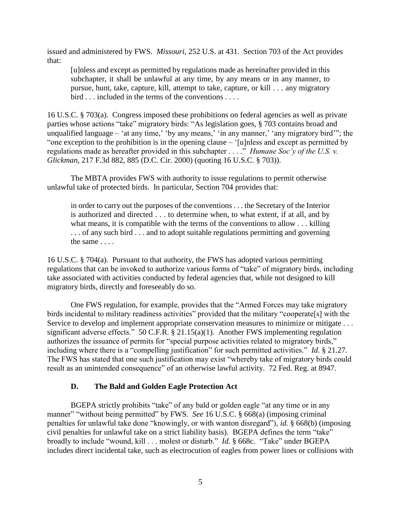issued and administered by FWS. *Missouri*, 252 U.S. at 431. Section 703 of the Act provides that:

[u]nless and except as permitted by regulations made as hereinafter provided in this subchapter, it shall be unlawful at any time, by any means or in any manner, to pursue, hunt, take, capture, kill, attempt to take, capture, or kill . . . any migratory bird . . . included in the terms of the conventions . . . .

16 U.S.C. § 703(a). Congress imposed these prohibitions on federal agencies as well as private parties whose actions "take" migratory birds: "As legislation goes, § 703 contains broad and unqualified language – 'at any time,' 'by any means,' 'in any manner,' 'any migratory bird'"; the "one exception to the prohibition is in the opening clause – '[u]nless and except as permitted by regulations made as hereafter provided in this subchapter . . . ." *Humane Soc'y of the U.S. v. Glickman*, 217 F.3d 882, 885 (D.C. Cir. 2000) (quoting 16 U.S.C. § 703)).

The MBTA provides FWS with authority to issue regulations to permit otherwise unlawful take of protected birds. In particular, Section 704 provides that:

in order to carry out the purposes of the conventions . . . the Secretary of the Interior is authorized and directed . . . to determine when, to what extent, if at all, and by what means, it is compatible with the terms of the conventions to allow . . . killing ... of any such bird ... and to adopt suitable regulations permitting and governing the same . . . .

16 U.S.C. § 704(a). Pursuant to that authority, the FWS has adopted various permitting regulations that can be invoked to authorize various forms of "take" of migratory birds, including take associated with activities conducted by federal agencies that, while not designed to kill migratory birds, directly and foreseeably do so.

One FWS regulation, for example, provides that the "Armed Forces may take migratory birds incidental to military readiness activities" provided that the military "cooperate[s] with the Service to develop and implement appropriate conservation measures to minimize or mitigate . . . significant adverse effects." 50 C.F.R. § 21.15(a)(1). Another FWS implementing regulation authorizes the issuance of permits for "special purpose activities related to migratory birds," including where there is a "compelling justification" for such permitted activities." *Id*. § 21.27. The FWS has stated that one such justification may exist "whereby take of migratory birds could result as an unintended consequence" of an otherwise lawful activity. 72 Fed. Reg. at 8947.

#### **D. The Bald and Golden Eagle Protection Act**

BGEPA strictly prohibits "take" of any bald or golden eagle "at any time or in any manner" "without being permitted" by FWS. *See* 16 U.S.C. § 668(a) (imposing criminal penalties for unlawful take done "knowingly, or with wanton disregard"), *id.* § 668(b) (imposing civil penalties for unlawful take on a strict liability basis). BGEPA defines the term "take" broadly to include "wound, kill . . . molest or disturb." *Id.* § 668c. "Take" under BGEPA includes direct incidental take, such as electrocution of eagles from power lines or collisions with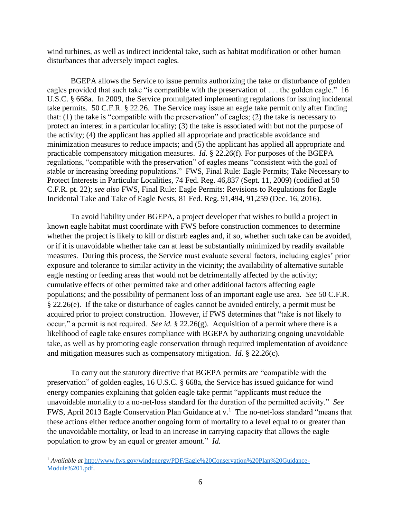wind turbines, as well as indirect incidental take, such as habitat modification or other human disturbances that adversely impact eagles.

BGEPA allows the Service to issue permits authorizing the take or disturbance of golden eagles provided that such take "is compatible with the preservation of . . . the golden eagle." 16 U.S.C. § 668a. In 2009, the Service promulgated implementing regulations for issuing incidental take permits. 50 C.F.R. § 22.26. The Service may issue an eagle take permit only after finding that: (1) the take is "compatible with the preservation" of eagles; (2) the take is necessary to protect an interest in a particular locality; (3) the take is associated with but not the purpose of the activity; (4) the applicant has applied all appropriate and practicable avoidance and minimization measures to reduce impacts; and (5) the applicant has applied all appropriate and practicable compensatory mitigation measures. *Id.* § 22.26(f). For purposes of the BGEPA regulations, "compatible with the preservation" of eagles means "consistent with the goal of stable or increasing breeding populations." FWS, Final Rule: Eagle Permits; Take Necessary to Protect Interests in Particular Localities, 74 Fed. Reg. 46,837 (Sept. 11, 2009) (codified at 50 C.F.R. pt. 22); *see also* FWS, Final Rule: Eagle Permits: Revisions to Regulations for Eagle Incidental Take and Take of Eagle Nests, 81 Fed. Reg. 91,494, 91,259 (Dec. 16, 2016).

To avoid liability under BGEPA, a project developer that wishes to build a project in known eagle habitat must coordinate with FWS before construction commences to determine whether the project is likely to kill or disturb eagles and, if so, whether such take can be avoided, or if it is unavoidable whether take can at least be substantially minimized by readily available measures. During this process, the Service must evaluate several factors, including eagles' prior exposure and tolerance to similar activity in the vicinity; the availability of alternative suitable eagle nesting or feeding areas that would not be detrimentally affected by the activity; cumulative effects of other permitted take and other additional factors affecting eagle populations; and the possibility of permanent loss of an important eagle use area. *See* 50 C.F.R. § 22.26(e). If the take or disturbance of eagles cannot be avoided entirely, a permit must be acquired prior to project construction. However, if FWS determines that "take is not likely to occur," a permit is not required. *See id.* § 22.26(g). Acquisition of a permit where there is a likelihood of eagle take ensures compliance with BGEPA by authorizing ongoing unavoidable take, as well as by promoting eagle conservation through required implementation of avoidance and mitigation measures such as compensatory mitigation. *Id.* § 22.26(c).

To carry out the statutory directive that BGEPA permits are "compatible with the preservation" of golden eagles, 16 U.S.C. § 668a, the Service has issued guidance for wind energy companies explaining that golden eagle take permit "applicants must reduce the unavoidable mortality to a no-net‐loss standard for the duration of the permitted activity." *See*  FWS, April 2013 Eagle Conservation Plan Guidance at v.<sup>1</sup> The no-net-loss standard "means that these actions either reduce another ongoing form of mortality to a level equal to or greater than the unavoidable mortality, or lead to an increase in carrying capacity that allows the eagle population to grow by an equal or greater amount." *Id.*

 $\overline{a}$ 

<sup>1</sup> *Available at* [http://www.fws.gov/windenergy/PDF/Eagle%20Conservation%20Plan%20Guidance-](http://www.fws.gov/windenergy/PDF/Eagle%20Conservation%20Plan%20Guidance-Module%201.pdf)[Module%201.pdf.](http://www.fws.gov/windenergy/PDF/Eagle%20Conservation%20Plan%20Guidance-Module%201.pdf)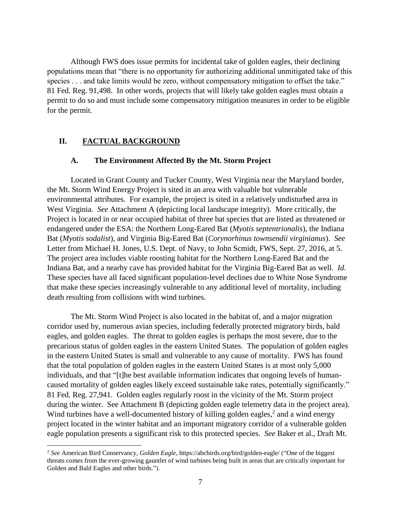Although FWS does issue permits for incidental take of golden eagles, their declining populations mean that "there is no opportunity for authorizing additional unmitigated take of this species . . . and take limits would be zero, without compensatory mitigation to offset the take." 81 Fed. Reg. 91,498. In other words, projects that will likely take golden eagles must obtain a permit to do so and must include some compensatory mitigation measures in order to be eligible for the permit.

### **II. FACTUAL BACKGROUND**

 $\overline{a}$ 

#### **A. The Environment Affected By the Mt. Storm Project**

Located in Grant County and Tucker County, West Virginia near the Maryland border, the Mt. Storm Wind Energy Project is sited in an area with valuable but vulnerable environmental attributes. For example, the project is sited in a relatively undisturbed area in West Virginia. *See* Attachment A (depicting local landscape integrity). More critically, the Project is located in or near occupied habitat of three bat species that are listed as threatened or endangered under the ESA: the Northern Long-Eared Bat (*Myotis septentrionalis*), the Indiana Bat (*Myotis sodalist*), and Virginia Big-Eared Bat (*Corynorhinus townsendii virginianus*). *See*  Letter from Michael H. Jones, U.S. Dept. of Navy, to John Scmidt, FWS, Sept. 27, 2016, at 5. The project area includes viable roosting habitat for the Northern Long-Eared Bat and the Indiana Bat, and a nearby cave has provided habitat for the Virginia Big-Eared Bat as well. *Id.*  These species have all faced significant population-level declines due to White Nose Syndrome that make these species increasingly vulnerable to any additional level of mortality, including death resulting from collisions with wind turbines.

The Mt. Storm Wind Project is also located in the habitat of, and a major migration corridor used by, numerous avian species, including federally protected migratory birds, bald eagles, and golden eagles. The threat to golden eagles is perhaps the most severe, due to the precarious status of golden eagles in the eastern United States. The population of golden eagles in the eastern United States is small and vulnerable to any cause of mortality. FWS has found that the total population of golden eagles in the eastern United States is at most only 5,000 individuals, and that "[t]he best available information indicates that ongoing levels of humancaused mortality of golden eagles likely exceed sustainable take rates, potentially significantly." 81 Fed. Reg. 27,941. Golden eagles regularly roost in the vicinity of the Mt. Storm project during the winter. See Attachment B (depicting golden eagle telemetry data in the project area). Wind turbines have a well-documented history of killing golden eagles, $<sup>2</sup>$  and a wind energy</sup> project located in the winter habitat and an important migratory corridor of a vulnerable golden eagle population presents a significant risk to this protected species. *See* Baker et al., Draft Mt.

<sup>2</sup> *See* American Bird Conservancy, *Golden Eagle*, https://abcbirds.org/bird/golden-eagle/ ("One of the biggest threats comes from the ever-growing gauntlet of wind turbines being built in areas that are critically important for Golden and Bald Eagles and other birds.").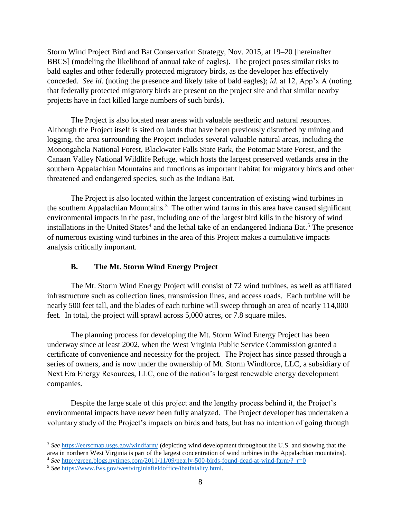Storm Wind Project Bird and Bat Conservation Strategy, Nov. 2015, at 19–20 [hereinafter BBCS] (modeling the likelihood of annual take of eagles). The project poses similar risks to bald eagles and other federally protected migratory birds, as the developer has effectively conceded. *See id.* (noting the presence and likely take of bald eagles); *id.* at 12, App'x A (noting that federally protected migratory birds are present on the project site and that similar nearby projects have in fact killed large numbers of such birds).

The Project is also located near areas with valuable aesthetic and natural resources. Although the Project itself is sited on lands that have been previously disturbed by mining and logging, the area surrounding the Project includes several valuable natural areas, including the Monongahela National Forest, Blackwater Falls State Park, the Potomac State Forest, and the Canaan Valley National Wildlife Refuge, which hosts the largest preserved wetlands area in the southern Appalachian Mountains and functions as important habitat for migratory birds and other threatened and endangered species, such as the Indiana Bat.

The Project is also located within the largest concentration of existing wind turbines in the southern Appalachian Mountains.<sup>3</sup> The other wind farms in this area have caused significant environmental impacts in the past, including one of the largest bird kills in the history of wind installations in the United States<sup>4</sup> and the lethal take of an endangered Indiana Bat.<sup>5</sup> The presence of numerous existing wind turbines in the area of this Project makes a cumulative impacts analysis critically important.

# **B. The Mt. Storm Wind Energy Project**

The Mt. Storm Wind Energy Project will consist of 72 wind turbines, as well as affiliated infrastructure such as collection lines, transmission lines, and access roads. Each turbine will be nearly 500 feet tall, and the blades of each turbine will sweep through an area of nearly 114,000 feet. In total, the project will sprawl across 5,000 acres, or 7.8 square miles.

The planning process for developing the Mt. Storm Wind Energy Project has been underway since at least 2002, when the West Virginia Public Service Commission granted a certificate of convenience and necessity for the project. The Project has since passed through a series of owners, and is now under the ownership of Mt. Storm Windforce, LLC, a subsidiary of Next Era Energy Resources, LLC, one of the nation's largest renewable energy development companies.

Despite the large scale of this project and the lengthy process behind it, the Project's environmental impacts have *never* been fully analyzed. The Project developer has undertaken a voluntary study of the Project's impacts on birds and bats, but has no intention of going through

 $\overline{a}$ 

<sup>3</sup> *See* <https://eerscmap.usgs.gov/windfarm/> (depicting wind development throughout the U.S. and showing that the area in northern West Virginia is part of the largest concentration of wind turbines in the Appalachian mountains). <sup>4</sup> *See* [http://green.blogs.nytimes.com/2011/11/09/nearly-500-birds-found-dead-at-wind-farm/?\\_r=0](http://green.blogs.nytimes.com/2011/11/09/nearly-500-birds-found-dead-at-wind-farm/?_r=0)

<sup>5</sup> *See* [https://www.fws.gov/westvirginiafieldoffice/ibatfatality.html.](https://www.fws.gov/westvirginiafieldoffice/ibatfatality.html)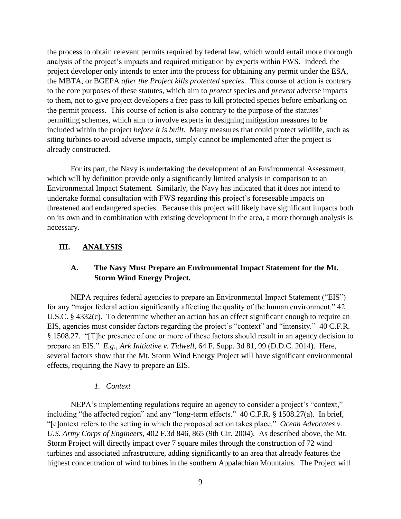the process to obtain relevant permits required by federal law, which would entail more thorough analysis of the project's impacts and required mitigation by experts within FWS. Indeed, the project developer only intends to enter into the process for obtaining any permit under the ESA, the MBTA, or BGEPA *after the Project kills protected species.* This course of action is contrary to the core purposes of these statutes, which aim to *protect* species and *prevent* adverse impacts to them, not to give project developers a free pass to kill protected species before embarking on the permit process. This course of action is also contrary to the purpose of the statutes' permitting schemes, which aim to involve experts in designing mitigation measures to be included within the project *before it is built*. Many measures that could protect wildlife, such as siting turbines to avoid adverse impacts, simply cannot be implemented after the project is already constructed.

For its part, the Navy is undertaking the development of an Environmental Assessment, which will by definition provide only a significantly limited analysis in comparison to an Environmental Impact Statement. Similarly, the Navy has indicated that it does not intend to undertake formal consultation with FWS regarding this project's foreseeable impacts on threatened and endangered species. Because this project will likely have significant impacts both on its own and in combination with existing development in the area, a more thorough analysis is necessary.

#### **III. ANALYSIS**

### **A. The Navy Must Prepare an Environmental Impact Statement for the Mt. Storm Wind Energy Project.**

NEPA requires federal agencies to prepare an Environmental Impact Statement ("EIS") for any "major federal action significantly affecting the quality of the human environment." 42 U.S.C. § 4332(c). To determine whether an action has an effect significant enough to require an EIS, agencies must consider factors regarding the project's "context" and "intensity." 40 C.F.R. § 1508.27. "[T]he presence of one or more of these factors should result in an agency decision to prepare an EIS." *E.g.*, *Ark Initiative v. Tidwell*, 64 F. Supp. 3d 81, 99 (D.D.C. 2014). Here, several factors show that the Mt. Storm Wind Energy Project will have significant environmental effects, requiring the Navy to prepare an EIS.

#### *1. Context*

NEPA's implementing regulations require an agency to consider a project's "context," including "the affected region" and any "long-term effects." 40 C.F.R. § 1508.27(a). In brief, "[c]ontext refers to the setting in which the proposed action takes place." *Ocean Advocates v. U.S. Army Corps of Engineers*, 402 F.3d 846, 865 (9th Cir. 2004). As described above, the Mt. Storm Project will directly impact over 7 square miles through the construction of 72 wind turbines and associated infrastructure, adding significantly to an area that already features the highest concentration of wind turbines in the southern Appalachian Mountains. The Project will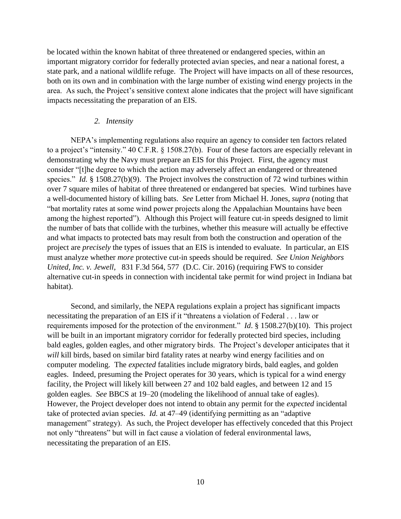be located within the known habitat of three threatened or endangered species, within an important migratory corridor for federally protected avian species, and near a national forest, a state park, and a national wildlife refuge. The Project will have impacts on all of these resources, both on its own and in combination with the large number of existing wind energy projects in the area. As such, the Project's sensitive context alone indicates that the project will have significant impacts necessitating the preparation of an EIS.

#### *2. Intensity*

NEPA's implementing regulations also require an agency to consider ten factors related to a project's "intensity." 40 C.F.R. § 1508.27(b). Four of these factors are especially relevant in demonstrating why the Navy must prepare an EIS for this Project. First, the agency must consider "[t]he degree to which the action may adversely affect an endangered or threatened species." *Id.* § 1508.27(b)(9). The Project involves the construction of 72 wind turbines within over 7 square miles of habitat of three threatened or endangered bat species. Wind turbines have a well-documented history of killing bats. *See* Letter from Michael H. Jones, *supra* (noting that "bat mortality rates at some wind power projects along the Appalachian Mountains have been among the highest reported"). Although this Project will feature cut-in speeds designed to limit the number of bats that collide with the turbines, whether this measure will actually be effective and what impacts to protected bats may result from both the construction and operation of the project are *precisely* the types of issues that an EIS is intended to evaluate. In particular, an EIS must analyze whether *more* protective cut-in speeds should be required. *See Union Neighbors United, Inc. v. Jewell*, 831 F.3d 564, 577 (D.C. Cir. 2016) (requiring FWS to consider alternative cut-in speeds in connection with incidental take permit for wind project in Indiana bat habitat).

Second, and similarly, the NEPA regulations explain a project has significant impacts necessitating the preparation of an EIS if it "threatens a violation of Federal . . . law or requirements imposed for the protection of the environment." *Id*. § 1508.27(b)(10). This project will be built in an important migratory corridor for federally protected bird species, including bald eagles, golden eagles, and other migratory birds. The Project's developer anticipates that it *will* kill birds, based on similar bird fatality rates at nearby wind energy facilities and on computer modeling. The *expected* fatalities include migratory birds, bald eagles, and golden eagles. Indeed, presuming the Project operates for 30 years, which is typical for a wind energy facility, the Project will likely kill between 27 and 102 bald eagles, and between 12 and 15 golden eagles. *See* BBCS at 19–20 (modeling the likelihood of annual take of eagles). However, the Project developer does not intend to obtain any permit for the *expected* incidental take of protected avian species. *Id.* at 47–49 (identifying permitting as an "adaptive management" strategy). As such, the Project developer has effectively conceded that this Project not only "threatens" but will in fact cause a violation of federal environmental laws, necessitating the preparation of an EIS.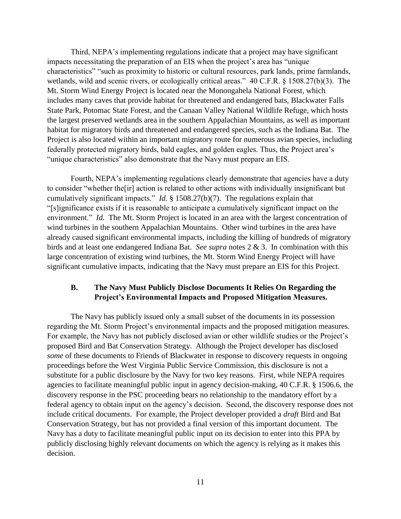Third, NEPA's implementing regulations indicate that a project may have significant impacts necessitating the preparation of an EIS when the project's area has "unique characteristics" "such as proximity to historic or cultural resources, park lands, prime farmlands, wetlands, wild and scenic rivers, or ecologically critical areas." 40 C.F.R. § 1508.27(b)(3). The Mt. Storm Wind Energy Project is located near the Monongahela National Forest, which includes many caves that provide habitat for threatened and endangered bats, Blackwater Falls State Park, Potomac State Forest, and the Canaan Valley National Wildlife Refuge, which hosts the largest preserved wetlands area in the southern Appalachian Mountains, as well as important habitat for migratory birds and threatened and endangered species, such as the Indiana Bat. The Project is also located within an important migratory route for numerous avian species, including federally protected migratory birds, bald eagles, and golden eagles. Thus, the Project area's "unique characteristics" also demonstrate that the Navy must prepare an EIS.

Fourth, NEPA's implementing regulations clearly demonstrate that agencies have a duty to consider "whether the[ir] action is related to other actions with individually insignificant but cumulatively significant impacts." *Id.* § 1508.27(b)(7). The regulations explain that "[s]ignificance exists if it is reasonable to anticipate a cumulatively significant impact on the environment." *Id.* The Mt. Storm Project is located in an area with the largest concentration of wind turbines in the southern Appalachian Mountains. Other wind turbines in the area have already caused significant environmental impacts, including the killing of hundreds of migratory birds and at least one endangered Indiana Bat. *See supra* notes 2 & 3. In combination with this large concentration of existing wind turbines, the Mt. Storm Wind Energy Project will have significant cumulative impacts, indicating that the Navy must prepare an EIS for this Project.

#### **B. The Navy Must Publicly Disclose Documents It Relies On Regarding the Project's Environmental Impacts and Proposed Mitigation Measures.**

The Navy has publicly issued only a small subset of the documents in its possession regarding the Mt. Storm Project's environmental impacts and the proposed mitigation measures. For example, the Navy has not publicly disclosed avian or other wildlife studies or the Project's proposed Bird and Bat Conservation Strategy. Although the Project developer has disclosed *some* of these documents to Friends of Blackwater in response to discovery requests in ongoing proceedings before the West Virginia Public Service Commission, this disclosure is not a substitute for a public disclosure by the Navy for two key reasons. First, while NEPA requires agencies to facilitate meaningful public input in agency decision-making, 40 C.F.R. § 1506.6, the discovery response in the PSC proceeding bears no relationship to the mandatory effort by a federal agency to obtain input on the agency's decision. Second, the discovery response does not include critical documents. For example, the Project developer provided a *draft* Bird and Bat Conservation Strategy, but has not provided a final version of this important document. The Navy has a duty to facilitate meaningful public input on its decision to enter into this PPA by publicly disclosing highly relevant documents on which the agency is relying as it makes this decision.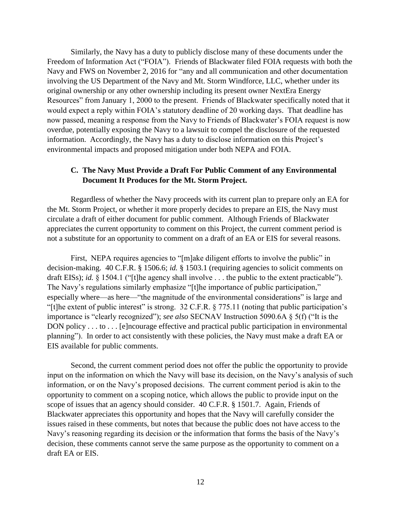Similarly, the Navy has a duty to publicly disclose many of these documents under the Freedom of Information Act ("FOIA"). Friends of Blackwater filed FOIA requests with both the Navy and FWS on November 2, 2016 for "any and all communication and other documentation involving the US Department of the Navy and Mt. Storm Windforce, LLC, whether under its original ownership or any other ownership including its present owner NextEra Energy Resources" from January 1, 2000 to the present. Friends of Blackwater specifically noted that it would expect a reply within FOIA's statutory deadline of 20 working days. That deadline has now passed, meaning a response from the Navy to Friends of Blackwater's FOIA request is now overdue, potentially exposing the Navy to a lawsuit to compel the disclosure of the requested information. Accordingly, the Navy has a duty to disclose information on this Project's environmental impacts and proposed mitigation under both NEPA and FOIA.

#### **C. The Navy Must Provide a Draft For Public Comment of any Environmental Document It Produces for the Mt. Storm Project.**

Regardless of whether the Navy proceeds with its current plan to prepare only an EA for the Mt. Storm Project, or whether it more properly decides to prepare an EIS, the Navy must circulate a draft of either document for public comment. Although Friends of Blackwater appreciates the current opportunity to comment on this Project, the current comment period is not a substitute for an opportunity to comment on a draft of an EA or EIS for several reasons.

First, NEPA requires agencies to "[m]ake diligent efforts to involve the public" in decision-making. 40 C.F.R. § 1506.6; *id.* § 1503.1 (requiring agencies to solicit comments on draft EISs); *id.* § 1504.1 ("[t]he agency shall involve . . . the public to the extent practicable"). The Navy's regulations similarly emphasize "[t]he importance of public participation," especially where—as here—"the magnitude of the environmental considerations" is large and "[t]he extent of public interest" is strong. 32 C.F.R. § 775.11 (noting that public participation's importance is "clearly recognized"); *see also* SECNAV Instruction 5090.6A § 5(f) ("It is the DON policy . . . to . . . [e] ncourage effective and practical public participation in environmental planning"). In order to act consistently with these policies, the Navy must make a draft EA or EIS available for public comments.

Second, the current comment period does not offer the public the opportunity to provide input on the information on which the Navy will base its decision, on the Navy's analysis of such information, or on the Navy's proposed decisions. The current comment period is akin to the opportunity to comment on a scoping notice, which allows the public to provide input on the scope of issues that an agency should consider. 40 C.F.R. § 1501.7. Again, Friends of Blackwater appreciates this opportunity and hopes that the Navy will carefully consider the issues raised in these comments, but notes that because the public does not have access to the Navy's reasoning regarding its decision or the information that forms the basis of the Navy's decision, these comments cannot serve the same purpose as the opportunity to comment on a draft EA or EIS.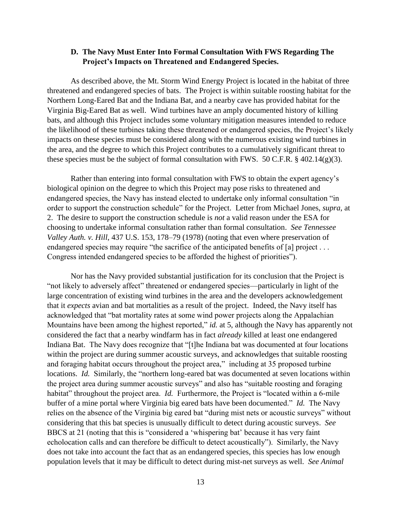#### **D. The Navy Must Enter Into Formal Consultation With FWS Regarding The Project's Impacts on Threatened and Endangered Species.**

As described above, the Mt. Storm Wind Energy Project is located in the habitat of three threatened and endangered species of bats. The Project is within suitable roosting habitat for the Northern Long-Eared Bat and the Indiana Bat, and a nearby cave has provided habitat for the Virginia Big-Eared Bat as well. Wind turbines have an amply documented history of killing bats, and although this Project includes some voluntary mitigation measures intended to reduce the likelihood of these turbines taking these threatened or endangered species, the Project's likely impacts on these species must be considered along with the numerous existing wind turbines in the area, and the degree to which this Project contributes to a cumulatively significant threat to these species must be the subject of formal consultation with FWS. 50 C.F.R.  $\S$  402.14(g)(3).

Rather than entering into formal consultation with FWS to obtain the expert agency's biological opinion on the degree to which this Project may pose risks to threatened and endangered species, the Navy has instead elected to undertake only informal consultation "in order to support the construction schedule" for the Project. Letter from Michael Jones, *supra*, at 2. The desire to support the construction schedule is *not* a valid reason under the ESA for choosing to undertake informal consultation rather than formal consultation. *See Tennessee Valley Auth. v. Hill*, 437 U.S. 153, 178–79 (1978) (noting that even where preservation of endangered species may require "the sacrifice of the anticipated benefits of [a] project ... Congress intended endangered species to be afforded the highest of priorities").

Nor has the Navy provided substantial justification for its conclusion that the Project is "not likely to adversely affect" threatened or endangered species—particularly in light of the large concentration of existing wind turbines in the area and the developers acknowledgement that it *expects* avian and bat mortalities as a result of the project. Indeed, the Navy itself has acknowledged that "bat mortality rates at some wind power projects along the Appalachian Mountains have been among the highest reported," *id.* at 5, although the Navy has apparently not considered the fact that a nearby windfarm has in fact *already* killed at least one endangered Indiana Bat. The Navy does recognize that "[t]he Indiana bat was documented at four locations within the project are during summer acoustic surveys, and acknowledges that suitable roosting and foraging habitat occurs throughout the project area," including at 35 proposed turbine locations. *Id.* Similarly, the "northern long-eared bat was documented at seven locations within the project area during summer acoustic surveys" and also has "suitable roosting and foraging habitat" throughout the project area. *Id.* Furthermore, the Project is "located within a 6-mile buffer of a mine portal where Virginia big eared bats have been documented." *Id.* The Navy relies on the absence of the Virginia big eared bat "during mist nets or acoustic surveys" without considering that this bat species is unusually difficult to detect during acoustic surveys. *See*  BBCS at 21 (noting that this is "considered a 'whispering bat' because it has very faint echolocation calls and can therefore be difficult to detect acoustically"). Similarly, the Navy does not take into account the fact that as an endangered species, this species has low enough population levels that it may be difficult to detect during mist-net surveys as well. *See Animal*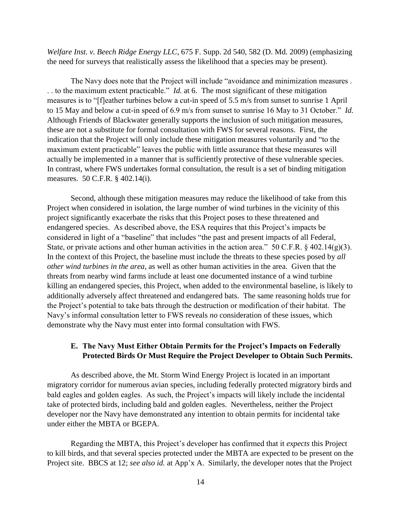*Welfare Inst. v. Beech Ridge Energy LLC*, 675 F. Supp. 2d 540, 582 (D. Md. 2009) (emphasizing the need for surveys that realistically assess the likelihood that a species may be present).

The Navy does note that the Project will include "avoidance and minimization measures . . . to the maximum extent practicable." *Id.* at 6. The most significant of these mitigation measures is to "[f]eather turbines below a cut-in speed of 5.5 m/s from sunset to sunrise 1 April to 15 May and below a cut-in speed of 6.9 m/s from sunset to sunrise 16 May to 31 October." *Id.*  Although Friends of Blackwater generally supports the inclusion of such mitigation measures, these are not a substitute for formal consultation with FWS for several reasons. First, the indication that the Project will only include these mitigation measures voluntarily and "to the maximum extent practicable" leaves the public with little assurance that these measures will actually be implemented in a manner that is sufficiently protective of these vulnerable species. In contrast, where FWS undertakes formal consultation, the result is a set of binding mitigation measures. 50 C.F.R. § 402.14(i).

Second, although these mitigation measures may reduce the likelihood of take from this Project when considered in isolation, the large number of wind turbines in the vicinity of this project significantly exacerbate the risks that this Project poses to these threatened and endangered species. As described above, the ESA requires that this Project's impacts be considered in light of a "baseline" that includes "the past and present impacts of all Federal, State, or private actions and other human activities in the action area." 50 C.F.R. § 402.14(g)(3). In the context of this Project, the baseline must include the threats to these species posed by *all other wind turbines in the area*, as well as other human activities in the area. Given that the threats from nearby wind farms include at least one documented instance of a wind turbine killing an endangered species, this Project, when added to the environmental baseline, is likely to additionally adversely affect threatened and endangered bats. The same reasoning holds true for the Project's potential to take bats through the destruction or modification of their habitat. The Navy's informal consultation letter to FWS reveals *no* consideration of these issues, which demonstrate why the Navy must enter into formal consultation with FWS.

#### **E. The Navy Must Either Obtain Permits for the Project's Impacts on Federally Protected Birds Or Must Require the Project Developer to Obtain Such Permits.**

As described above, the Mt. Storm Wind Energy Project is located in an important migratory corridor for numerous avian species, including federally protected migratory birds and bald eagles and golden eagles. As such, the Project's impacts will likely include the incidental take of protected birds, including bald and golden eagles. Nevertheless, neither the Project developer nor the Navy have demonstrated any intention to obtain permits for incidental take under either the MBTA or BGEPA.

Regarding the MBTA, this Project's developer has confirmed that it *expects* this Project to kill birds, and that several species protected under the MBTA are expected to be present on the Project site. BBCS at 12; *see also id.* at App'x A. Similarly, the developer notes that the Project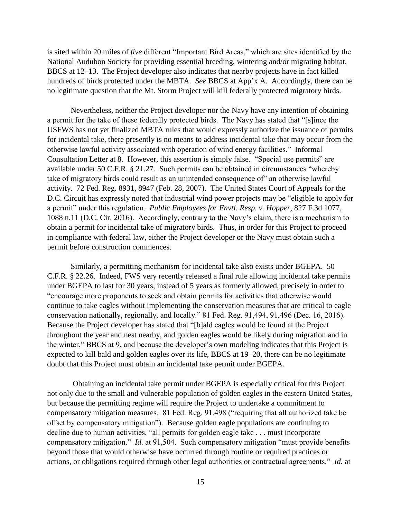is sited within 20 miles of *five* different "Important Bird Areas," which are sites identified by the National Audubon Society for providing essential breeding, wintering and/or migrating habitat. BBCS at 12–13. The Project developer also indicates that nearby projects have in fact killed hundreds of birds protected under the MBTA. *See* BBCS at App'x A. Accordingly, there can be no legitimate question that the Mt. Storm Project will kill federally protected migratory birds.

Nevertheless, neither the Project developer nor the Navy have any intention of obtaining a permit for the take of these federally protected birds. The Navy has stated that "[s]ince the USFWS has not yet finalized MBTA rules that would expressly authorize the issuance of permits for incidental take, there presently is no means to address incidental take that may occur from the otherwise lawful activity associated with operation of wind energy facilities." Informal Consultation Letter at 8. However, this assertion is simply false. "Special use permits" are available under 50 C.F.R. § 21.27. Such permits can be obtained in circumstances "whereby take of migratory birds could result as an unintended consequence of" an otherwise lawful activity. 72 Fed. Reg. 8931, 8947 (Feb. 28, 2007). The United States Court of Appeals for the D.C. Circuit has expressly noted that industrial wind power projects may be "eligible to apply for a permit" under this regulation. *Public Employees for Envtl. Resp. v. Hopper*, 827 F.3d 1077, 1088 n.11 (D.C. Cir. 2016). Accordingly, contrary to the Navy's claim, there is a mechanism to obtain a permit for incidental take of migratory birds. Thus, in order for this Project to proceed in compliance with federal law, either the Project developer or the Navy must obtain such a permit before construction commences.

Similarly, a permitting mechanism for incidental take also exists under BGEPA. 50 C.F.R. § 22.26. Indeed, FWS very recently released a final rule allowing incidental take permits under BGEPA to last for 30 years, instead of 5 years as formerly allowed, precisely in order to "encourage more proponents to seek and obtain permits for activities that otherwise would continue to take eagles without implementing the conservation measures that are critical to eagle conservation nationally, regionally, and locally." 81 Fed. Reg. 91,494, 91,496 (Dec. 16, 2016). Because the Project developer has stated that "[b]ald eagles would be found at the Project throughout the year and nest nearby, and golden eagles would be likely during migration and in the winter," BBCS at 9, and because the developer's own modeling indicates that this Project is expected to kill bald and golden eagles over its life, BBCS at 19–20, there can be no legitimate doubt that this Project must obtain an incidental take permit under BGEPA.

Obtaining an incidental take permit under BGEPA is especially critical for this Project not only due to the small and vulnerable population of golden eagles in the eastern United States, but because the permitting regime will require the Project to undertake a commitment to compensatory mitigation measures. 81 Fed. Reg. 91,498 ("requiring that all authorized take be offset by compensatory mitigation"). Because golden eagle populations are continuing to decline due to human activities, "all permits for golden eagle take . . . must incorporate compensatory mitigation." *Id.* at 91,504. Such compensatory mitigation "must provide benefits beyond those that would otherwise have occurred through routine or required practices or actions, or obligations required through other legal authorities or contractual agreements." *Id.* at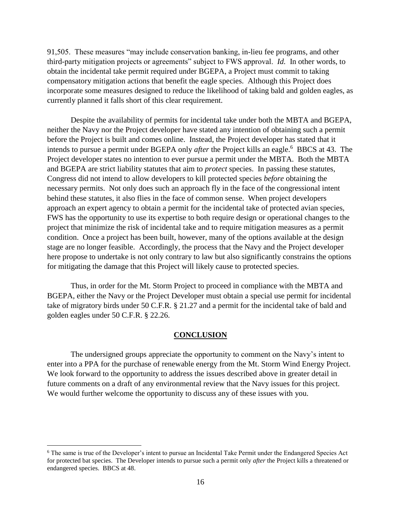91,505. These measures "may include conservation banking, in-lieu fee programs, and other third-party mitigation projects or agreements" subject to FWS approval. *Id.* In other words, to obtain the incidental take permit required under BGEPA, a Project must commit to taking compensatory mitigation actions that benefit the eagle species. Although this Project does incorporate some measures designed to reduce the likelihood of taking bald and golden eagles, as currently planned it falls short of this clear requirement.

Despite the availability of permits for incidental take under both the MBTA and BGEPA, neither the Navy nor the Project developer have stated any intention of obtaining such a permit before the Project is built and comes online. Instead, the Project developer has stated that it intends to pursue a permit under BGEPA only *after* the Project kills an eagle.<sup>6</sup> BBCS at 43. The Project developer states no intention to ever pursue a permit under the MBTA. Both the MBTA and BGEPA are strict liability statutes that aim to *protect* species. In passing these statutes, Congress did not intend to allow developers to kill protected species *before* obtaining the necessary permits. Not only does such an approach fly in the face of the congressional intent behind these statutes, it also flies in the face of common sense. When project developers approach an expert agency to obtain a permit for the incidental take of protected avian species, FWS has the opportunity to use its expertise to both require design or operational changes to the project that minimize the risk of incidental take and to require mitigation measures as a permit condition. Once a project has been built, however, many of the options available at the design stage are no longer feasible. Accordingly, the process that the Navy and the Project developer here propose to undertake is not only contrary to law but also significantly constrains the options for mitigating the damage that this Project will likely cause to protected species.

Thus, in order for the Mt. Storm Project to proceed in compliance with the MBTA and BGEPA, either the Navy or the Project Developer must obtain a special use permit for incidental take of migratory birds under 50 C.F.R. § 21.27 and a permit for the incidental take of bald and golden eagles under 50 C.F.R. § 22.26.

#### **CONCLUSION**

 The undersigned groups appreciate the opportunity to comment on the Navy's intent to enter into a PPA for the purchase of renewable energy from the Mt. Storm Wind Energy Project. We look forward to the opportunity to address the issues described above in greater detail in future comments on a draft of any environmental review that the Navy issues for this project. We would further welcome the opportunity to discuss any of these issues with you.

 $\overline{a}$ 

<sup>6</sup> The same is true of the Developer's intent to pursue an Incidental Take Permit under the Endangered Species Act for protected bat species. The Developer intends to pursue such a permit only *after* the Project kills a threatened or endangered species. BBCS at 48.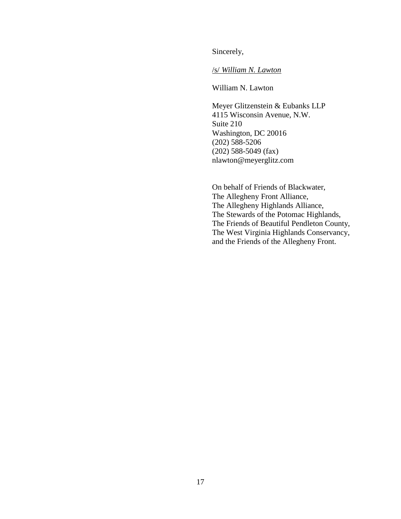Sincerely,

/s/ *William N. Lawton*

William N. Lawton

Meyer Glitzenstein & Eubanks LLP 4115 Wisconsin Avenue, N.W. Suite 210 Washington, DC 20016 (202) 588-5206 (202) 588-5049 (fax) nlawton@meyerglitz.com

On behalf of Friends of Blackwater, The Allegheny Front Alliance, The Allegheny Highlands Alliance, The Stewards of the Potomac Highlands, The Friends of Beautiful Pendleton County, The West Virginia Highlands Conservancy, and the Friends of the Allegheny Front.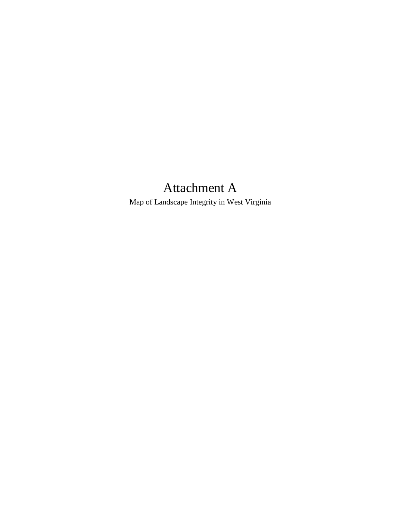# Attachment A

Map of Landscape Integrity in West Virginia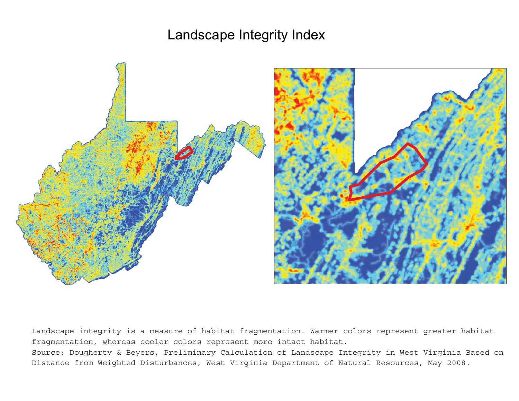Landscape Integrity Index



Landscape integrity is <sup>a</sup> measure of habitat fragmentation. Warmer colors represent greater habitat fragmentation, whereas cooler colors represent more intact habitat.

Source: Dougherty & Beyers, Preliminary Calculation of Landscape Integrity in West Virginia Based on Distance from Weighted Disturbances, West Virginia Department of Natural Resources, May 2008.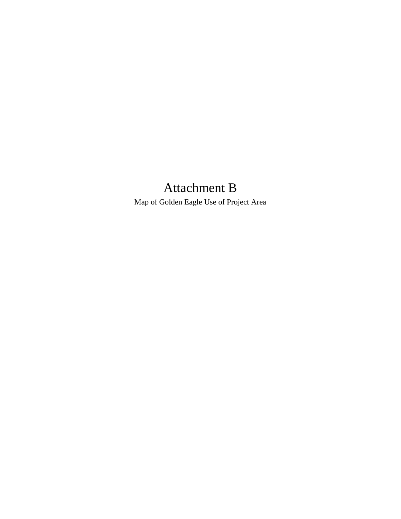# Attachment B

Map of Golden Eagle Use of Project Area